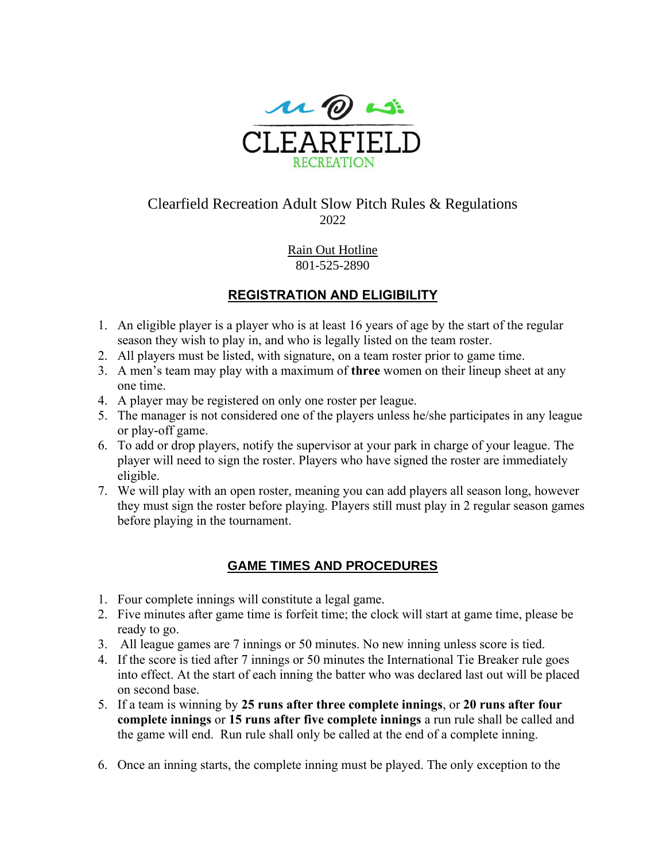

# Clearfield Recreation Adult Slow Pitch Rules & Regulations 2022

Rain Out Hotline 801-525-2890

## **REGISTRATION AND ELIGIBILITY**

- 1. An eligible player is a player who is at least 16 years of age by the start of the regular season they wish to play in, and who is legally listed on the team roster.
- 2. All players must be listed, with signature, on a team roster prior to game time.
- 3. A men's team may play with a maximum of **three** women on their lineup sheet at any one time.
- 4. A player may be registered on only one roster per league.
- 5. The manager is not considered one of the players unless he/she participates in any league or play-off game.
- 6. To add or drop players, notify the supervisor at your park in charge of your league. The player will need to sign the roster. Players who have signed the roster are immediately eligible.
- 7. We will play with an open roster, meaning you can add players all season long, however they must sign the roster before playing. Players still must play in 2 regular season games before playing in the tournament.

### **GAME TIMES AND PROCEDURES**

- 1. Four complete innings will constitute a legal game.
- 2. Five minutes after game time is forfeit time; the clock will start at game time, please be ready to go.
- 3. All league games are 7 innings or 50 minutes. No new inning unless score is tied.
- 4. If the score is tied after 7 innings or 50 minutes the International Tie Breaker rule goes into effect. At the start of each inning the batter who was declared last out will be placed on second base.
- 5. If a team is winning by **25 runs after three complete innings**, or **20 runs after four complete innings** or **15 runs after five complete innings** a run rule shall be called and the game will end. Run rule shall only be called at the end of a complete inning.
- 6. Once an inning starts, the complete inning must be played. The only exception to the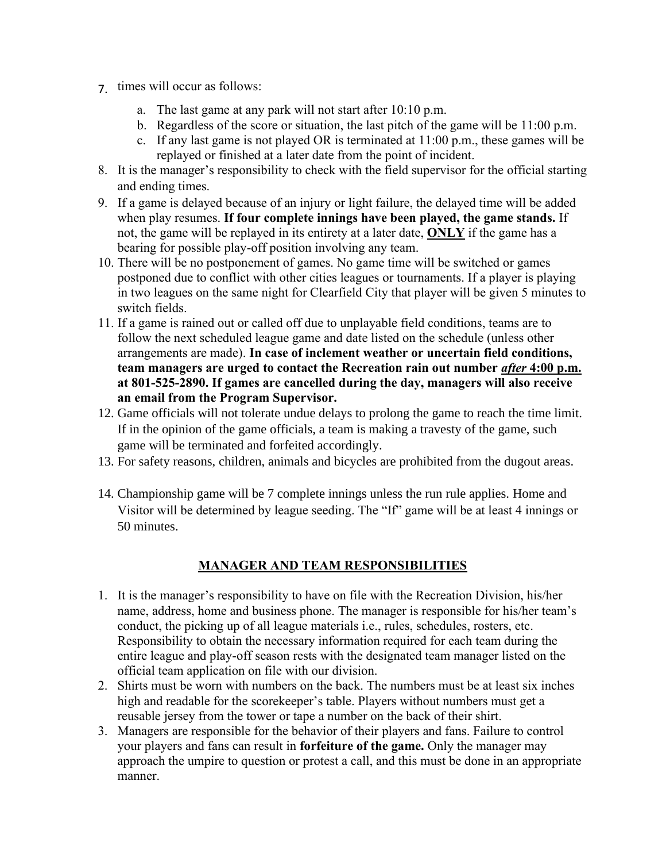- 7. times will occur as follows:
	- a. The last game at any park will not start after 10:10 p.m.
	- b. Regardless of the score or situation, the last pitch of the game will be 11:00 p.m.
	- c. If any last game is not played OR is terminated at 11:00 p.m., these games will be replayed or finished at a later date from the point of incident.
- 8. It is the manager's responsibility to check with the field supervisor for the official starting and ending times.
- 9. If a game is delayed because of an injury or light failure, the delayed time will be added when play resumes. **If four complete innings have been played, the game stands.** If not, the game will be replayed in its entirety at a later date, **ONLY** if the game has a bearing for possible play-off position involving any team.
- 10. There will be no postponement of games. No game time will be switched or games postponed due to conflict with other cities leagues or tournaments. If a player is playing in two leagues on the same night for Clearfield City that player will be given 5 minutes to switch fields.
- 11. If a game is rained out or called off due to unplayable field conditions, teams are to follow the next scheduled league game and date listed on the schedule (unless other arrangements are made). **In case of inclement weather or uncertain field conditions, team managers are urged to contact the Recreation rain out number** *after* **4:00 p.m. at 801-525-2890. If games are cancelled during the day, managers will also receive an email from the Program Supervisor.**
- 12. Game officials will not tolerate undue delays to prolong the game to reach the time limit. If in the opinion of the game officials, a team is making a travesty of the game, such game will be terminated and forfeited accordingly.
- 13. For safety reasons, children, animals and bicycles are prohibited from the dugout areas.
- 14. Championship game will be 7 complete innings unless the run rule applies. Home and Visitor will be determined by league seeding. The "If" game will be at least 4 innings or 50 minutes.

### **MANAGER AND TEAM RESPONSIBILITIES**

- 1. It is the manager's responsibility to have on file with the Recreation Division, his/her name, address, home and business phone. The manager is responsible for his/her team's conduct, the picking up of all league materials i.e., rules, schedules, rosters, etc. Responsibility to obtain the necessary information required for each team during the entire league and play-off season rests with the designated team manager listed on the official team application on file with our division.
- 2. Shirts must be worn with numbers on the back. The numbers must be at least six inches high and readable for the scorekeeper's table. Players without numbers must get a reusable jersey from the tower or tape a number on the back of their shirt.
- 3. Managers are responsible for the behavior of their players and fans. Failure to control your players and fans can result in **forfeiture of the game.** Only the manager may approach the umpire to question or protest a call, and this must be done in an appropriate manner.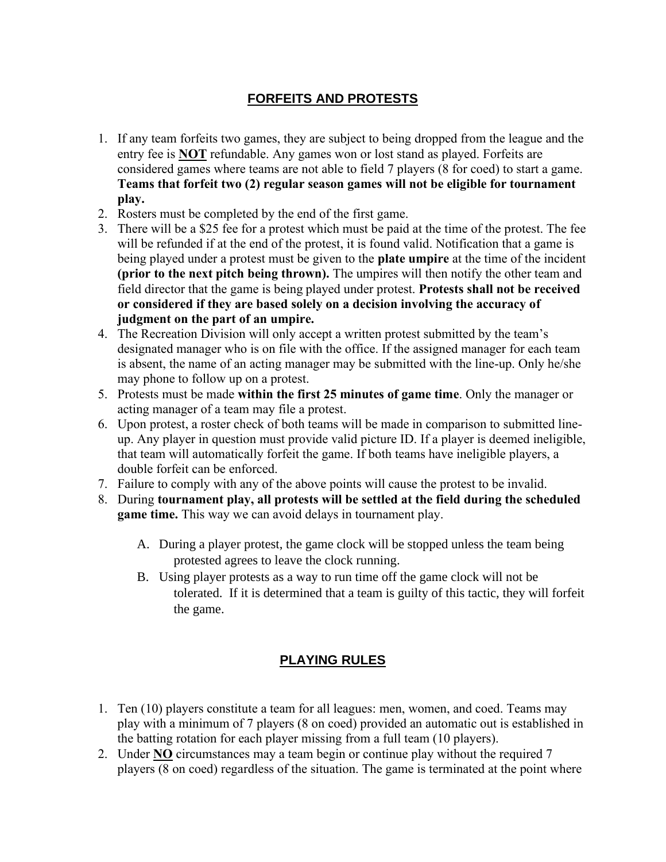## **FORFEITS AND PROTESTS**

- 1. If any team forfeits two games, they are subject to being dropped from the league and the entry fee is **NOT** refundable. Any games won or lost stand as played. Forfeits are considered games where teams are not able to field 7 players (8 for coed) to start a game. **Teams that forfeit two (2) regular season games will not be eligible for tournament play.**
- 2. Rosters must be completed by the end of the first game.
- 3. There will be a \$25 fee for a protest which must be paid at the time of the protest. The fee will be refunded if at the end of the protest, it is found valid. Notification that a game is being played under a protest must be given to the **plate umpire** at the time of the incident **(prior to the next pitch being thrown).** The umpires will then notify the other team and field director that the game is being played under protest. **Protests shall not be received or considered if they are based solely on a decision involving the accuracy of judgment on the part of an umpire.**
- 4. The Recreation Division will only accept a written protest submitted by the team's designated manager who is on file with the office. If the assigned manager for each team is absent, the name of an acting manager may be submitted with the line-up. Only he/she may phone to follow up on a protest.
- 5. Protests must be made **within the first 25 minutes of game time**. Only the manager or acting manager of a team may file a protest.
- 6. Upon protest, a roster check of both teams will be made in comparison to submitted lineup. Any player in question must provide valid picture ID. If a player is deemed ineligible, that team will automatically forfeit the game. If both teams have ineligible players, a double forfeit can be enforced.
- 7. Failure to comply with any of the above points will cause the protest to be invalid.
- 8. During **tournament play, all protests will be settled at the field during the scheduled game time.** This way we can avoid delays in tournament play.
	- A. During a player protest, the game clock will be stopped unless the team being protested agrees to leave the clock running.
	- B. Using player protests as a way to run time off the game clock will not be tolerated. If it is determined that a team is guilty of this tactic, they will forfeit the game.

## **PLAYING RULES**

- 1. Ten (10) players constitute a team for all leagues: men, women, and coed. Teams may play with a minimum of 7 players (8 on coed) provided an automatic out is established in the batting rotation for each player missing from a full team (10 players).
- 2. Under **NO** circumstances may a team begin or continue play without the required 7 players (8 on coed) regardless of the situation. The game is terminated at the point where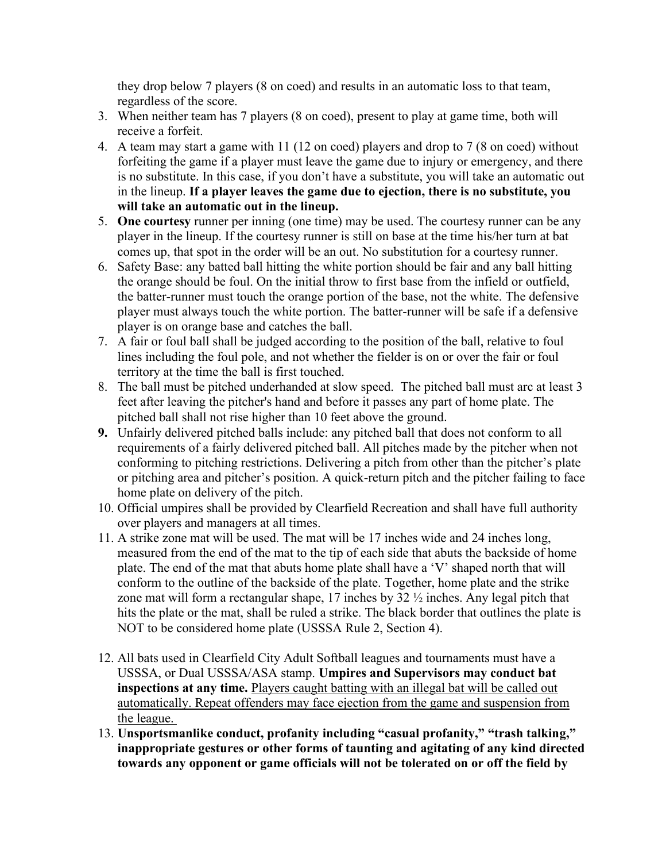they drop below 7 players (8 on coed) and results in an automatic loss to that team, regardless of the score.

- 3. When neither team has 7 players (8 on coed), present to play at game time, both will receive a forfeit.
- 4. A team may start a game with 11 (12 on coed) players and drop to 7 (8 on coed) without forfeiting the game if a player must leave the game due to injury or emergency, and there is no substitute. In this case, if you don't have a substitute, you will take an automatic out in the lineup. **If a player leaves the game due to ejection, there is no substitute, you will take an automatic out in the lineup.**
- 5. **One courtesy** runner per inning (one time) may be used. The courtesy runner can be any player in the lineup. If the courtesy runner is still on base at the time his/her turn at bat comes up, that spot in the order will be an out. No substitution for a courtesy runner.
- 6. Safety Base: any batted ball hitting the white portion should be fair and any ball hitting the orange should be foul. On the initial throw to first base from the infield or outfield, the batter-runner must touch the orange portion of the base, not the white. The defensive player must always touch the white portion. The batter-runner will be safe if a defensive player is on orange base and catches the ball.
- 7. A fair or foul ball shall be judged according to the position of the ball, relative to foul lines including the foul pole, and not whether the fielder is on or over the fair or foul territory at the time the ball is first touched.
- 8. The ball must be pitched underhanded at slow speed. The pitched ball must arc at least 3 feet after leaving the pitcher's hand and before it passes any part of home plate. The pitched ball shall not rise higher than 10 feet above the ground.
- **9.** Unfairly delivered pitched balls include: any pitched ball that does not conform to all requirements of a fairly delivered pitched ball. All pitches made by the pitcher when not conforming to pitching restrictions. Delivering a pitch from other than the pitcher's plate or pitching area and pitcher's position. A quick-return pitch and the pitcher failing to face home plate on delivery of the pitch.
- 10. Official umpires shall be provided by Clearfield Recreation and shall have full authority over players and managers at all times.
- 11. A strike zone mat will be used. The mat will be 17 inches wide and 24 inches long, measured from the end of the mat to the tip of each side that abuts the backside of home plate. The end of the mat that abuts home plate shall have a 'V' shaped north that will conform to the outline of the backside of the plate. Together, home plate and the strike zone mat will form a rectangular shape, 17 inches by 32 ½ inches. Any legal pitch that hits the plate or the mat, shall be ruled a strike. The black border that outlines the plate is NOT to be considered home plate (USSSA Rule 2, Section 4).
- 12. All bats used in Clearfield City Adult Softball leagues and tournaments must have a USSSA, or Dual USSSA/ASA stamp. **Umpires and Supervisors may conduct bat inspections at any time.** Players caught batting with an illegal bat will be called out automatically. Repeat offenders may face ejection from the game and suspension from the league.
- 13. **Unsportsmanlike conduct, profanity including "casual profanity," "trash talking," inappropriate gestures or other forms of taunting and agitating of any kind directed towards any opponent or game officials will not be tolerated on or off the field by**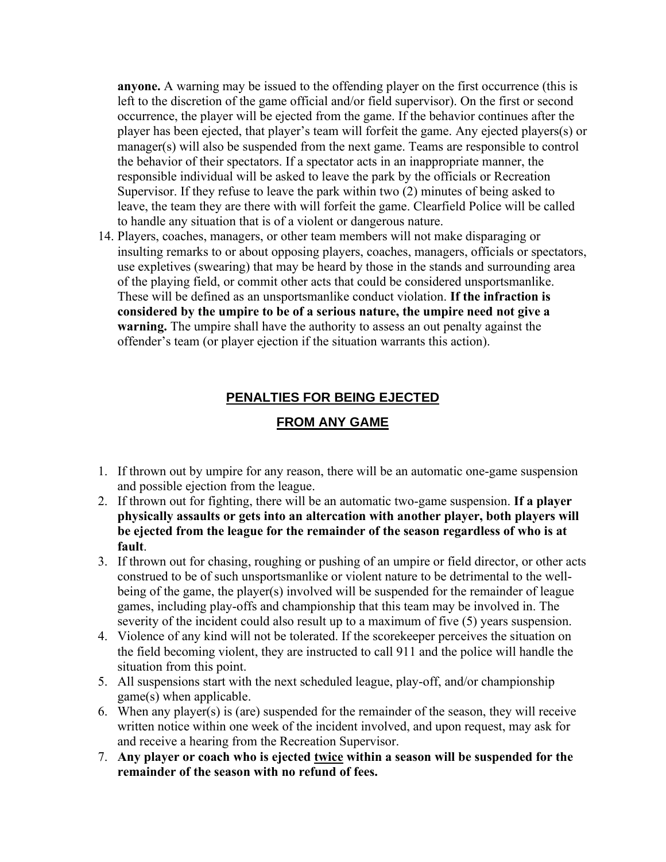**anyone.** A warning may be issued to the offending player on the first occurrence (this is left to the discretion of the game official and/or field supervisor). On the first or second occurrence, the player will be ejected from the game. If the behavior continues after the player has been ejected, that player's team will forfeit the game. Any ejected players(s) or manager(s) will also be suspended from the next game. Teams are responsible to control the behavior of their spectators. If a spectator acts in an inappropriate manner, the responsible individual will be asked to leave the park by the officials or Recreation Supervisor. If they refuse to leave the park within two (2) minutes of being asked to leave, the team they are there with will forfeit the game. Clearfield Police will be called to handle any situation that is of a violent or dangerous nature.

14. Players, coaches, managers, or other team members will not make disparaging or insulting remarks to or about opposing players, coaches, managers, officials or spectators, use expletives (swearing) that may be heard by those in the stands and surrounding area of the playing field, or commit other acts that could be considered unsportsmanlike. These will be defined as an unsportsmanlike conduct violation. **If the infraction is considered by the umpire to be of a serious nature, the umpire need not give a warning.** The umpire shall have the authority to assess an out penalty against the offender's team (or player ejection if the situation warrants this action).

### **PENALTIES FOR BEING EJECTED**

#### **FROM ANY GAME**

- 1. If thrown out by umpire for any reason, there will be an automatic one-game suspension and possible ejection from the league.
- 2. If thrown out for fighting, there will be an automatic two-game suspension. **If a player physically assaults or gets into an altercation with another player, both players will be ejected from the league for the remainder of the season regardless of who is at fault**.
- 3. If thrown out for chasing, roughing or pushing of an umpire or field director, or other acts construed to be of such unsportsmanlike or violent nature to be detrimental to the wellbeing of the game, the player(s) involved will be suspended for the remainder of league games, including play-offs and championship that this team may be involved in. The severity of the incident could also result up to a maximum of five (5) years suspension.
- 4. Violence of any kind will not be tolerated. If the scorekeeper perceives the situation on the field becoming violent, they are instructed to call 911 and the police will handle the situation from this point.
- 5. All suspensions start with the next scheduled league, play-off, and/or championship game(s) when applicable.
- 6. When any player(s) is (are) suspended for the remainder of the season, they will receive written notice within one week of the incident involved, and upon request, may ask for and receive a hearing from the Recreation Supervisor.
- 7. **Any player or coach who is ejected twice within a season will be suspended for the remainder of the season with no refund of fees.**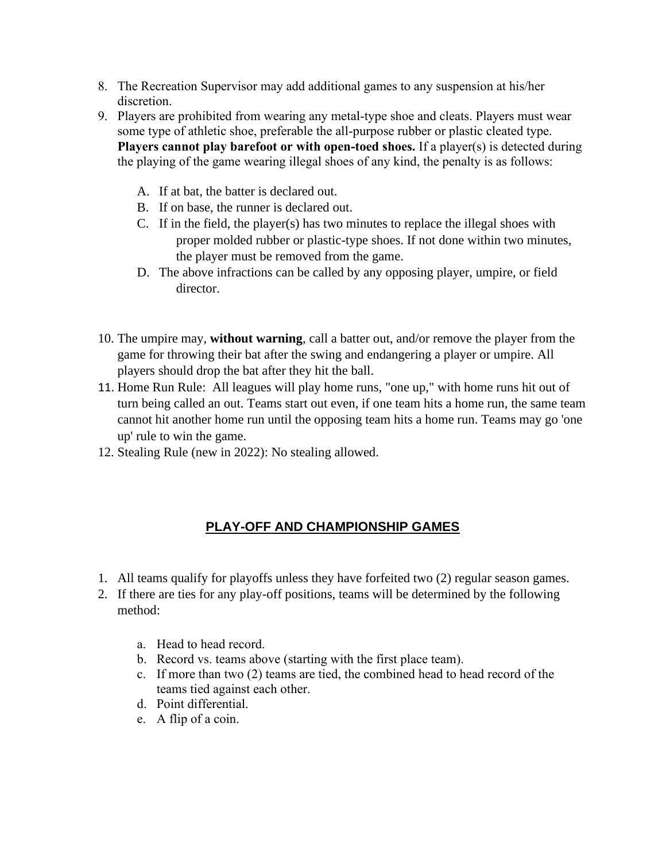- 8. The Recreation Supervisor may add additional games to any suspension at his/her discretion.
- 9. Players are prohibited from wearing any metal-type shoe and cleats. Players must wear some type of athletic shoe, preferable the all-purpose rubber or plastic cleated type. **Players cannot play barefoot or with open-toed shoes.** If a player(s) is detected during the playing of the game wearing illegal shoes of any kind, the penalty is as follows:
	- A. If at bat, the batter is declared out.
	- B. If on base, the runner is declared out.
	- C. If in the field, the player(s) has two minutes to replace the illegal shoes with proper molded rubber or plastic-type shoes. If not done within two minutes, the player must be removed from the game.
	- D. The above infractions can be called by any opposing player, umpire, or field director.
- 10. The umpire may, **without warning**, call a batter out, and/or remove the player from the game for throwing their bat after the swing and endangering a player or umpire. All players should drop the bat after they hit the ball.
- 11. Home Run Rule: All leagues will play home runs, "one up," with home runs hit out of turn being called an out. Teams start out even, if one team hits a home run, the same team cannot hit another home run until the opposing team hits a home run. Teams may go 'one up' rule to win the game.
- 12. Stealing Rule (new in 2022): No stealing allowed.

## **PLAY-OFF AND CHAMPIONSHIP GAMES**

- 1. All teams qualify for playoffs unless they have forfeited two (2) regular season games.
- 2. If there are ties for any play-off positions, teams will be determined by the following method:
	- a. Head to head record.
	- b. Record vs. teams above (starting with the first place team).
	- c. If more than two (2) teams are tied, the combined head to head record of the teams tied against each other.
	- d. Point differential.
	- e. A flip of a coin.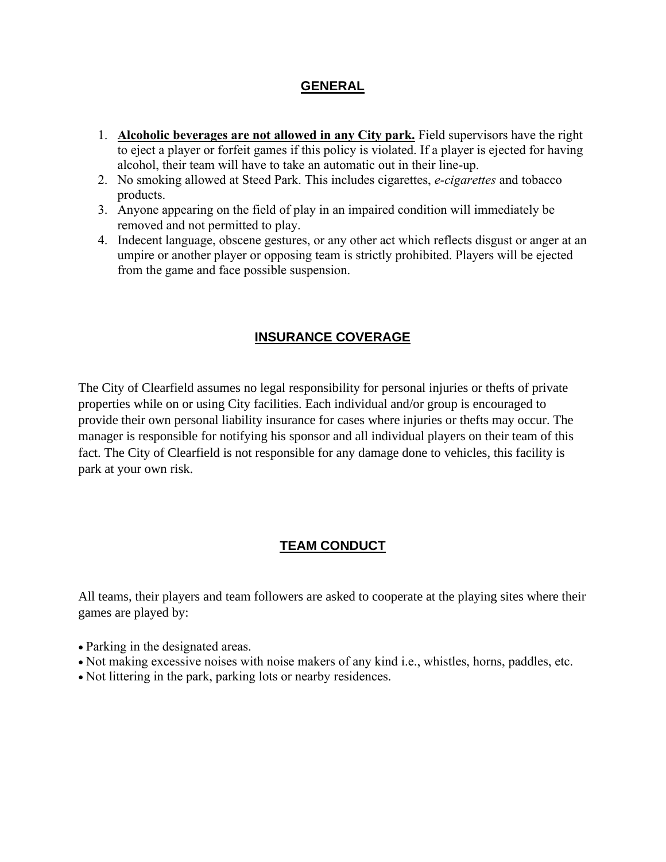#### **GENERAL**

- 1. **Alcoholic beverages are not allowed in any City park.** Field supervisors have the right to eject a player or forfeit games if this policy is violated. If a player is ejected for having alcohol, their team will have to take an automatic out in their line-up.
- 2. No smoking allowed at Steed Park. This includes cigarettes, *e-cigarettes* and tobacco products.
- 3. Anyone appearing on the field of play in an impaired condition will immediately be removed and not permitted to play.
- 4. Indecent language, obscene gestures, or any other act which reflects disgust or anger at an umpire or another player or opposing team is strictly prohibited. Players will be ejected from the game and face possible suspension.

## **INSURANCE COVERAGE**

The City of Clearfield assumes no legal responsibility for personal injuries or thefts of private properties while on or using City facilities. Each individual and/or group is encouraged to provide their own personal liability insurance for cases where injuries or thefts may occur. The manager is responsible for notifying his sponsor and all individual players on their team of this fact. The City of Clearfield is not responsible for any damage done to vehicles, this facility is park at your own risk.

## **TEAM CONDUCT**

All teams, their players and team followers are asked to cooperate at the playing sites where their games are played by:

- Parking in the designated areas.
- Not making excessive noises with noise makers of any kind i.e., whistles, horns, paddles, etc.
- Not littering in the park, parking lots or nearby residences.